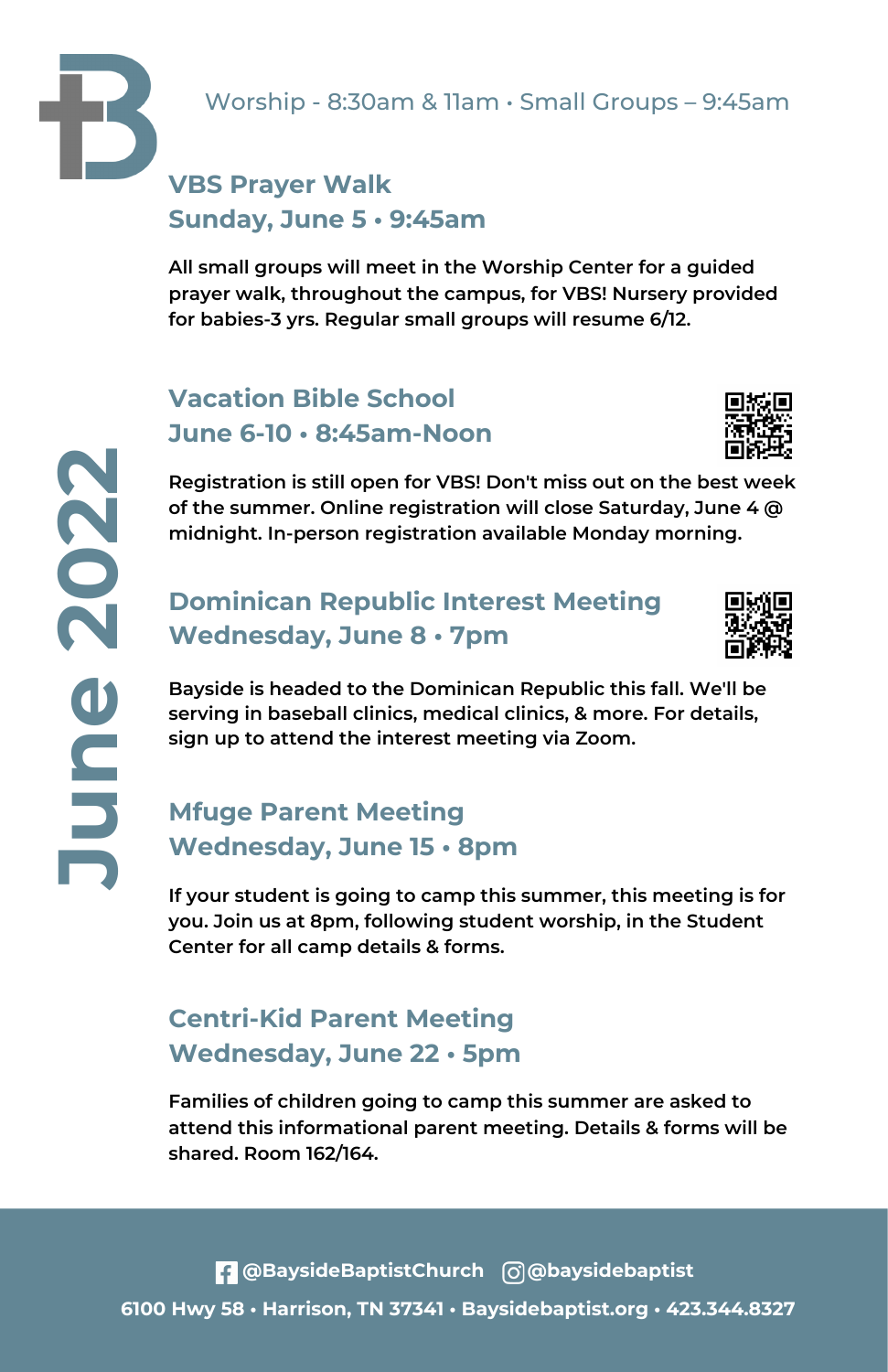## **VBS Prayer Walk Sunday, June 5 • 9:45am**

**All small groups will meet in the Worship Center for a guided prayer walk, throughout the campus, for VBS! Nursery provided for babies-3 yrs. Regular small groups will resume 6/12.**

# **Vacation Bible School June 6-10 • 8:45am-Noon**



**Registration is still open for VBS! Don't miss out on the best week of the summer. Online registration will close Saturday, June 4 @ midnight. In-person registration available Monday morning.**

### **Dominican Republic Interest Meeting Wednesday, June 8 • 7pm**



 **sign up to attend the interest meeting via Zoom.Bayside is headed to the Dominican Republic this fall. We'll be serving in baseball clinics, medical clinics, & more. For details,**

# **Wednesday, June 15 • 8pm Mfuge Parent Meeting**

**If your student is going to camp this summer, this meeting is for you. Join us at 8pm, following student worship, in the Student Center for all camp details & forms.**

# **Centri-Kid Parent Meeting Wednesday, June 22 • 5pm**

**Families of children going to camp this summer are asked to attend this informational parent meeting. Details & forms will be shared. Room 162/164.**